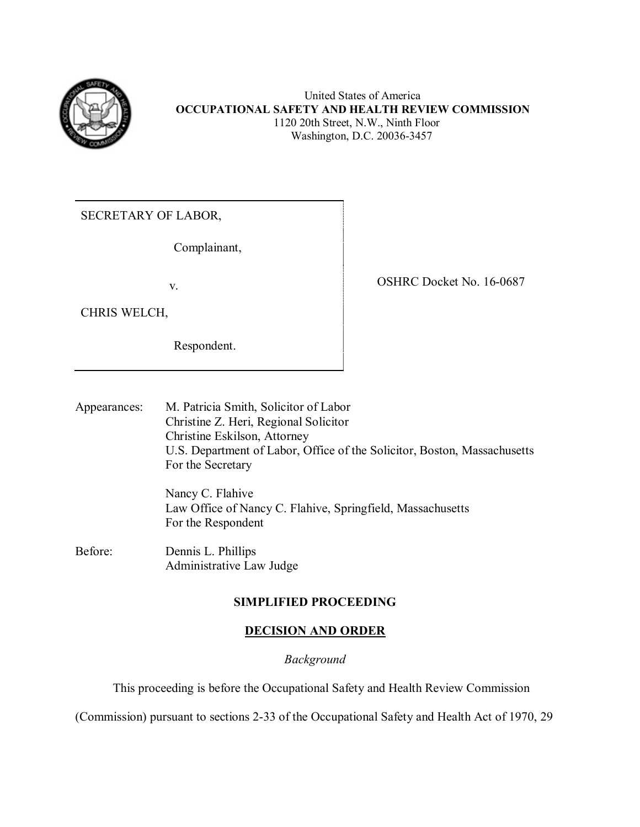

 United States of America **OCCUPATIONAL SAFETY AND HEALTH REVIEW COMMISSION** 1120 20th Street, N.W., Ninth Floor Washington, D.C. 20036-3457

SECRETARY OF LABOR,

Complainant,

CHRIS WELCH,

Respondent.

v. Solution of the COSHRC Docket No. 16-0687

Appearances: M. Patricia Smith, Solicitor of Labor Christine Z. Heri, Regional Solicitor Christine Eskilson, Attorney U.S. Department of Labor, Office of the Solicitor, Boston, Massachusetts For the Secretary

> Nancy C. Flahive Law Office of Nancy C. Flahive, Springfield, Massachusetts For the Respondent

Before: Dennis L. Phillips Administrative Law Judge

## **SIMPLIFIED PROCEEDING**

# **DECISION AND ORDER**

## *Background*

This proceeding is before the Occupational Safety and Health Review Commission

(Commission) pursuant to sections 2-33 of the Occupational Safety and Health Act of 1970, 29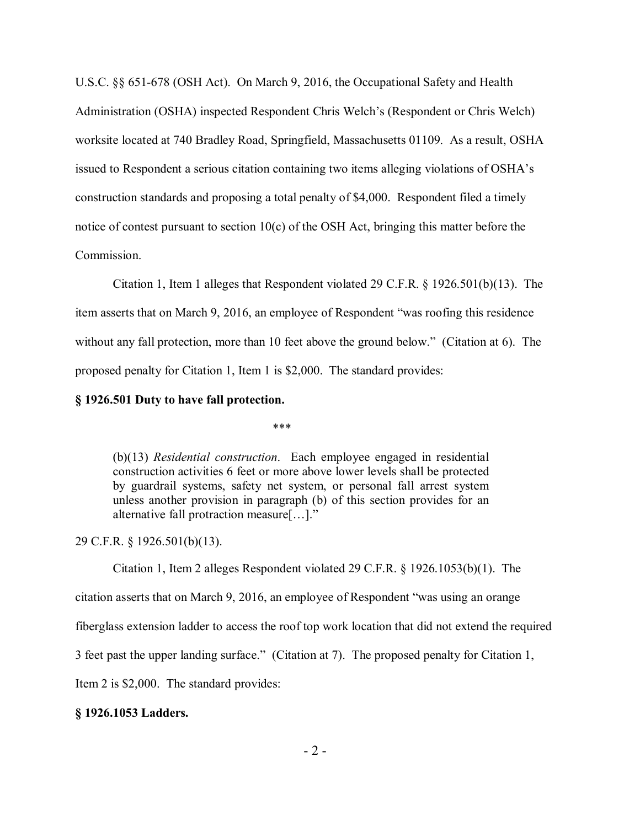U.S.C. §§ 651-678 (OSH Act). On March 9, 2016, the Occupational Safety and Health Administration (OSHA) inspected Respondent Chris Welch's (Respondent or Chris Welch) worksite located at 740 Bradley Road, Springfield, Massachusetts 01109. As a result, OSHA issued to Respondent a serious citation containing two items alleging violations of OSHA's construction standards and proposing a total penalty of \$4,000. Respondent filed a timely notice of contest pursuant to section 10(c) of the OSH Act, bringing this matter before the Commission.

Citation 1, Item 1 alleges that Respondent violated 29 C.F.R. § 1926.501(b)(13). The item asserts that on March 9, 2016, an employee of Respondent "was roofing this residence without any fall protection, more than 10 feet above the ground below." (Citation at 6). The proposed penalty for Citation 1, Item 1 is \$2,000. The standard provides:

## **§ 1926.501 Duty to have fall protection.**

\*\*\*

(b)(13) *Residential construction*. Each employee engaged in residential construction activities 6 feet or more above lower levels shall be protected by guardrail systems, safety net system, or personal fall arrest system unless another provision in paragraph (b) of this section provides for an alternative fall protraction measure[…]."

#### 29 C.F.R. § 1926.501(b)(13).

Citation 1, Item 2 alleges Respondent violated 29 C.F.R. § 1926.1053(b)(1). The

citation asserts that on March 9, 2016, an employee of Respondent "was using an orange

fiberglass extension ladder to access the roof top work location that did not extend the required

3 feet past the upper landing surface." (Citation at 7). The proposed penalty for Citation 1,

Item 2 is \$2,000. The standard provides:

## **§ 1926.1053 Ladders.**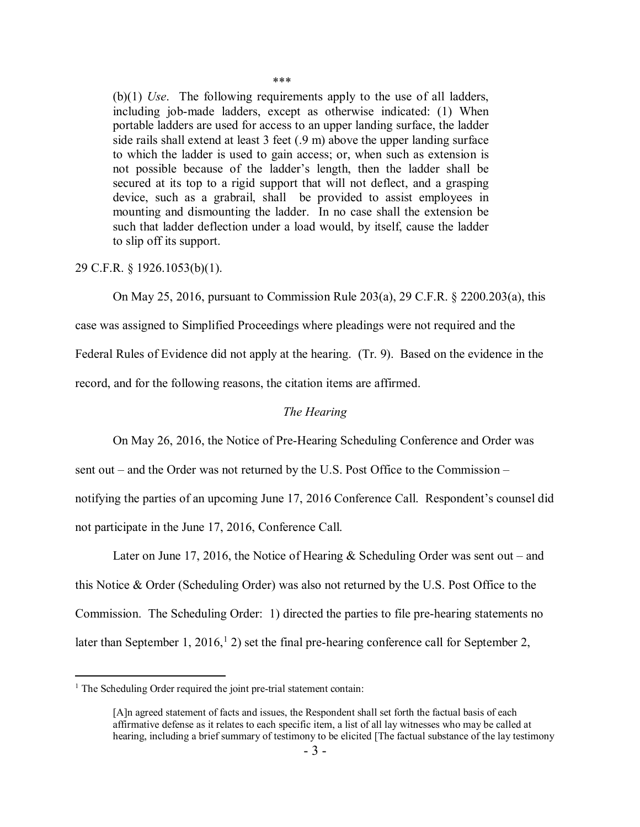\*\*\*

(b)(1) *Use*. The following requirements apply to the use of all ladders, including job-made ladders, except as otherwise indicated: (1) When portable ladders are used for access to an upper landing surface, the ladder side rails shall extend at least 3 feet (.9 m) above the upper landing surface to which the ladder is used to gain access; or, when such as extension is not possible because of the ladder's length, then the ladder shall be secured at its top to a rigid support that will not deflect, and a grasping device, such as a grabrail, shall be provided to assist employees in mounting and dismounting the ladder. In no case shall the extension be such that ladder deflection under a load would, by itself, cause the ladder to slip off its support.

29 C.F.R. § 1926.1053(b)(1).

On May 25, 2016, pursuant to Commission Rule 203(a), 29 C.F.R. § 2200.203(a), this

case was assigned to Simplified Proceedings where pleadings were not required and the Federal Rules of Evidence did not apply at the hearing. (Tr. 9). Based on the evidence in the

record, and for the following reasons, the citation items are affirmed.

#### *The Hearing*

On May 26, 2016, the Notice of Pre-Hearing Scheduling Conference and Order was

sent out – and the Order was not returned by the U.S. Post Office to the Commission –

notifying the parties of an upcoming June 17, 2016 Conference Call. Respondent's counsel did not participate in the June 17, 2016, Conference Call.

Later on June 17, 2016, the Notice of Hearing & Scheduling Order was sent out – and this Notice & Order (Scheduling Order) was also not returned by the U.S. Post Office to the Commission. The Scheduling Order: 1) directed the parties to file pre-hearing statements no later than September [1](#page-2-0),  $2016<sup>1</sup>$ , 2) set the final pre-hearing conference call for September 2,

 $\overline{a}$ 

<span id="page-2-0"></span> $<sup>1</sup>$  The Scheduling Order required the joint pre-trial statement contain:</sup>

<sup>[</sup>A]n agreed statement of facts and issues, the Respondent shall set forth the factual basis of each affirmative defense as it relates to each specific item, a list of all lay witnesses who may be called at hearing, including a brief summary of testimony to be elicited [The factual substance of the lay testimony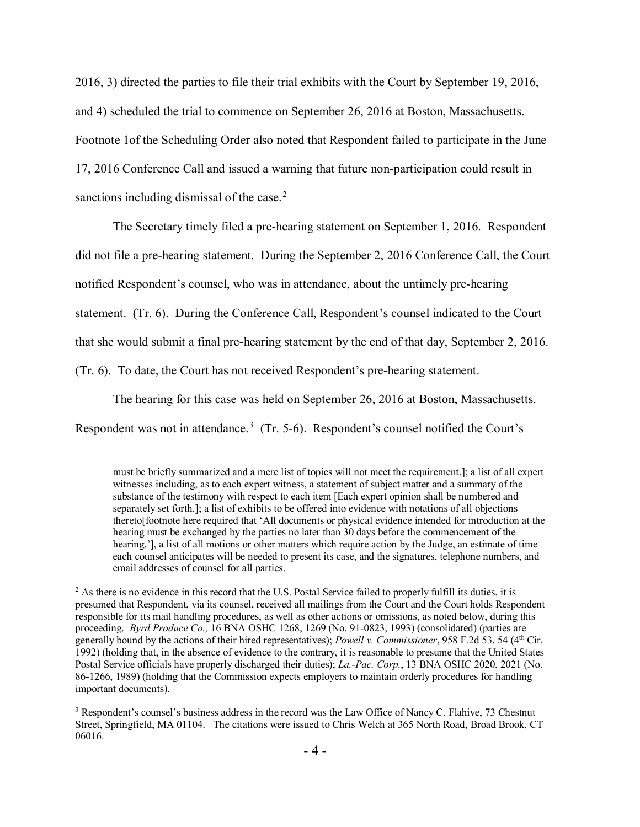2016, 3) directed the parties to file their trial exhibits with the Court by September 19, 2016, and 4) scheduled the trial to commence on September 26, 2016 at Boston, Massachusetts. Footnote 1of the Scheduling Order also noted that Respondent failed to participate in the June 17, 2016 Conference Call and issued a warning that future non-participation could result in sanctions including dismissal of the case. $2$ 

The Secretary timely filed a pre-hearing statement on September 1, 2016. Respondent did not file a pre-hearing statement. During the September 2, 2016 Conference Call, the Court notified Respondent's counsel, who was in attendance, about the untimely pre-hearing statement. (Tr. 6). During the Conference Call, Respondent's counsel indicated to the Court that she would submit a final pre-hearing statement by the end of that day, September 2, 2016. (Tr. 6). To date, the Court has not received Respondent's pre-hearing statement.

The hearing for this case was held on September 26, 2016 at Boston, Massachusetts. Respondent was not in attendance.<sup>[3](#page-3-1)</sup> (Tr. 5-6). Respondent's counsel notified the Court's

must be briefly summarized and a mere list of topics will not meet the requirement.]; a list of all expert witnesses including, as to each expert witness, a statement of subject matter and a summary of the substance of the testimony with respect to each item [Each expert opinion shall be numbered and separately set forth.]; a list of exhibits to be offered into evidence with notations of all objections thereto[footnote here required that 'All documents or physical evidence intended for introduction at the hearing must be exchanged by the parties no later than 30 days before the commencement of the hearing.'], a list of all motions or other matters which require action by the Judge, an estimate of time each counsel anticipates will be needed to present its case, and the signatures, telephone numbers, and email addresses of counsel for all parties.

<span id="page-3-0"></span><sup>&</sup>lt;sup>2</sup> As there is no evidence in this record that the U.S. Postal Service failed to properly fulfill its duties, it is presumed that Respondent, via its counsel, received all mailings from the Court and the Court holds Respondent responsible for its mail handling procedures, as well as other actions or omissions, as noted below, during this proceeding. *Byrd Produce Co.,* 16 BNA OSHC 1268, 1269 (No. 91-0823, 1993) (consolidated) (parties are generally bound by the actions of their hired representatives); *Powell v. Commissioner*, 958 F.2d 53, 54 (4th Cir. 1992) (holding that, in the absence of evidence to the contrary, it is reasonable to presume that the United States Postal Service officials have properly discharged their duties); *La.-Pac. Corp.*, 13 BNA OSHC 2020, 2021 (No. 86-1266, 1989) (holding that the Commission expects employers to maintain orderly procedures for handling important documents).

<span id="page-3-1"></span><sup>&</sup>lt;sup>3</sup> Respondent's counsel's business address in the record was the Law Office of Nancy C. Flahive, 73 Chestnut Street, Springfield, MA 01104. The citations were issued to Chris Welch at 365 North Road, Broad Brook, CT 06016.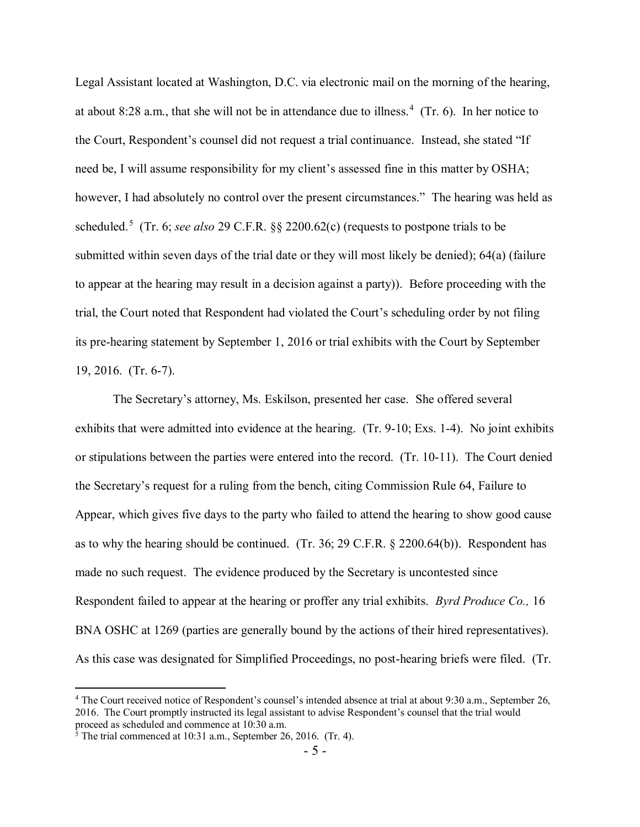Legal Assistant located at Washington, D.C. via electronic mail on the morning of the hearing, at about 8:28 a.m., that she will not be in attendance due to illness.<sup>[4](#page-4-0)</sup> (Tr. 6). In her notice to the Court, Respondent's counsel did not request a trial continuance. Instead, she stated "If need be, I will assume responsibility for my client's assessed fine in this matter by OSHA; however, I had absolutely no control over the present circumstances." The hearing was held as scheduled.[5](#page-4-1) (Tr. 6; *see also* 29 C.F.R. §§ 2200.62(c) (requests to postpone trials to be submitted within seven days of the trial date or they will most likely be denied); 64(a) (failure to appear at the hearing may result in a decision against a party)). Before proceeding with the trial, the Court noted that Respondent had violated the Court's scheduling order by not filing its pre-hearing statement by September 1, 2016 or trial exhibits with the Court by September 19, 2016. (Tr. 6-7).

The Secretary's attorney, Ms. Eskilson, presented her case. She offered several exhibits that were admitted into evidence at the hearing. (Tr. 9-10; Exs. 1-4). No joint exhibits or stipulations between the parties were entered into the record. (Tr. 10-11). The Court denied the Secretary's request for a ruling from the bench, citing Commission Rule 64, Failure to Appear, which gives five days to the party who failed to attend the hearing to show good cause as to why the hearing should be continued. (Tr. 36; 29 C.F.R. § 2200.64(b)). Respondent has made no such request. The evidence produced by the Secretary is uncontested since Respondent failed to appear at the hearing or proffer any trial exhibits. *Byrd Produce Co.,* 16 BNA OSHC at 1269 (parties are generally bound by the actions of their hired representatives). As this case was designated for Simplified Proceedings, no post-hearing briefs were filed. (Tr.

 $\overline{a}$ 

<span id="page-4-0"></span><sup>4</sup> The Court received notice of Respondent's counsel's intended absence at trial at about 9:30 a.m., September 26, 2016. The Court promptly instructed its legal assistant to advise Respondent's counsel that the trial would proceed as scheduled and commence at 10:30 a.m.

<span id="page-4-1"></span> $\frac{1}{5}$  The trial commenced at 10:31 a.m., September 26, 2016. (Tr. 4).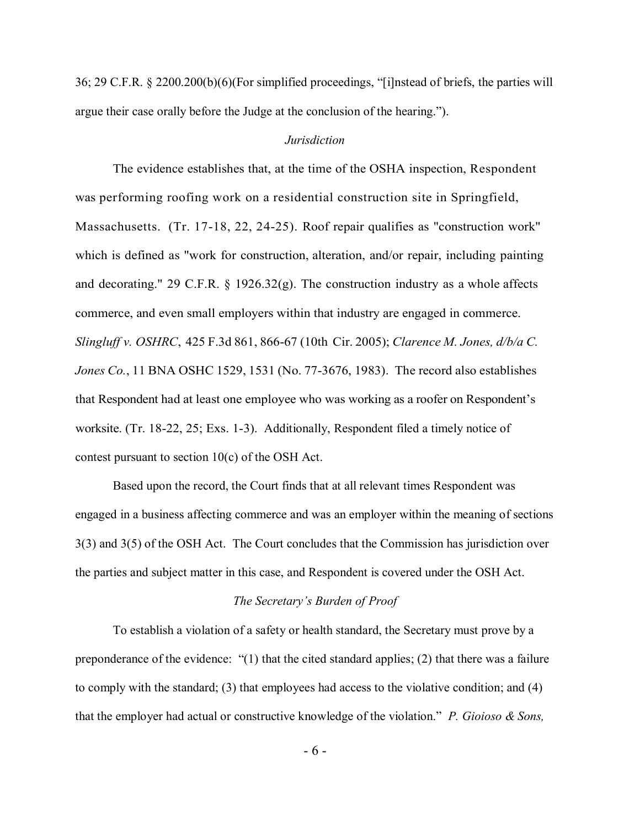36; 29 C.F.R. § 2200.200(b)(6)(For simplified proceedings, "[i]nstead of briefs, the parties will argue their case orally before the Judge at the conclusion of the hearing.").

## *Jurisdiction*

The evidence establishes that, at the time of the OSHA inspection, Respondent was performing roofing work on a residential construction site in Springfield, Massachusetts. (Tr. 17-18, 22, 24-25). Roof repair qualifies as "construction work" which is defined as "work for construction, alteration, and/or repair, including painting and decorating." 29 C.F.R.  $\S$  1926.32(g). The construction industry as a whole affects commerce, and even small employers within that industry are engaged in commerce. *Slingluff v. OSHRC*, 425 F.3d 861, 866-67 (10th Cir. 2005); *Clarence M. Jones, d/b/a C. Jones Co.*, 11 BNA OSHC 1529, 1531 (No. 77-3676, 1983). The record also establishes that Respondent had at least one employee who was working as a roofer on Respondent's worksite. (Tr. 18-22, 25; Exs. 1-3). Additionally, Respondent filed a timely notice of contest pursuant to section 10(c) of the OSH Act.

Based upon the record, the Court finds that at all relevant times Respondent was engaged in a business affecting commerce and was an employer within the meaning of sections 3(3) and 3(5) of the OSH Act. The Court concludes that the Commission has jurisdiction over the parties and subject matter in this case, and Respondent is covered under the OSH Act.

### *The Secretary's Burden of Proof*

To establish a violation of a safety or health standard, the Secretary must prove by a preponderance of the evidence: "(1) that the cited standard applies; (2) that there was a failure to comply with the standard; (3) that employees had access to the violative condition; and (4) that the employer had actual or constructive knowledge of the violation." *P. Gioioso & Sons,* 

- 6 -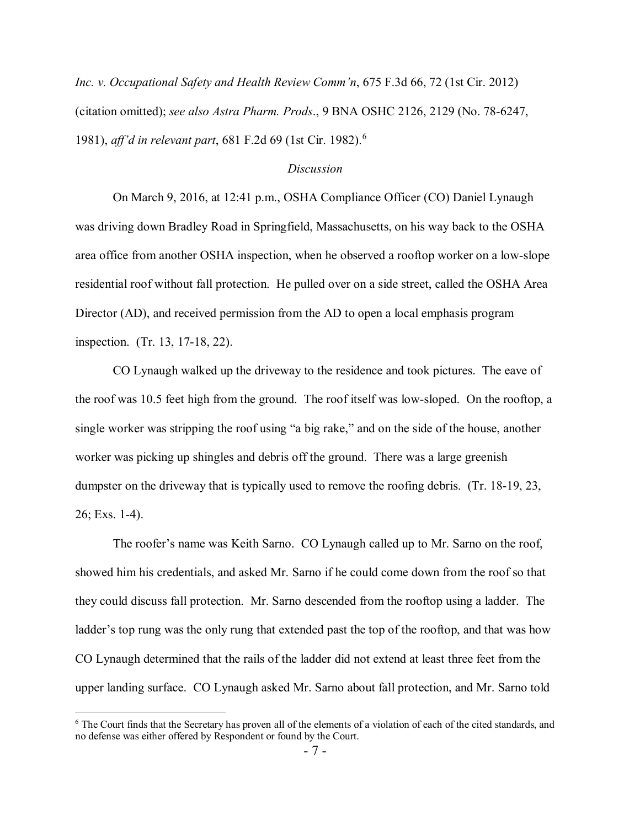*Inc. v. Occupational Safety and Health Review Comm'n*, 675 F.3d 66, 72 (1st Cir. 2012) (citation omitted); *see also Astra Pharm. Prods*., 9 BNA OSHC 2126, 2129 (No. 78-6247, 1981), *aff'd in relevant part*, 681 F.2d 69 (1st Cir. 1982).[6](#page-6-0)

### *Discussion*

On March 9, 2016, at 12:41 p.m., OSHA Compliance Officer (CO) Daniel Lynaugh was driving down Bradley Road in Springfield, Massachusetts, on his way back to the OSHA area office from another OSHA inspection, when he observed a rooftop worker on a low-slope residential roof without fall protection. He pulled over on a side street, called the OSHA Area Director (AD), and received permission from the AD to open a local emphasis program inspection. (Tr. 13, 17-18, 22).

CO Lynaugh walked up the driveway to the residence and took pictures. The eave of the roof was 10.5 feet high from the ground. The roof itself was low-sloped. On the rooftop, a single worker was stripping the roof using "a big rake," and on the side of the house, another worker was picking up shingles and debris off the ground. There was a large greenish dumpster on the driveway that is typically used to remove the roofing debris. (Tr. 18-19, 23, 26; Exs. 1-4).

The roofer's name was Keith Sarno. CO Lynaugh called up to Mr. Sarno on the roof, showed him his credentials, and asked Mr. Sarno if he could come down from the roof so that they could discuss fall protection. Mr. Sarno descended from the rooftop using a ladder. The ladder's top rung was the only rung that extended past the top of the rooftop, and that was how CO Lynaugh determined that the rails of the ladder did not extend at least three feet from the upper landing surface. CO Lynaugh asked Mr. Sarno about fall protection, and Mr. Sarno told

<span id="page-6-0"></span><sup>&</sup>lt;sup>6</sup> The Court finds that the Secretary has proven all of the elements of a violation of each of the cited standards, and no defense was either offered by Respondent or found by the Court.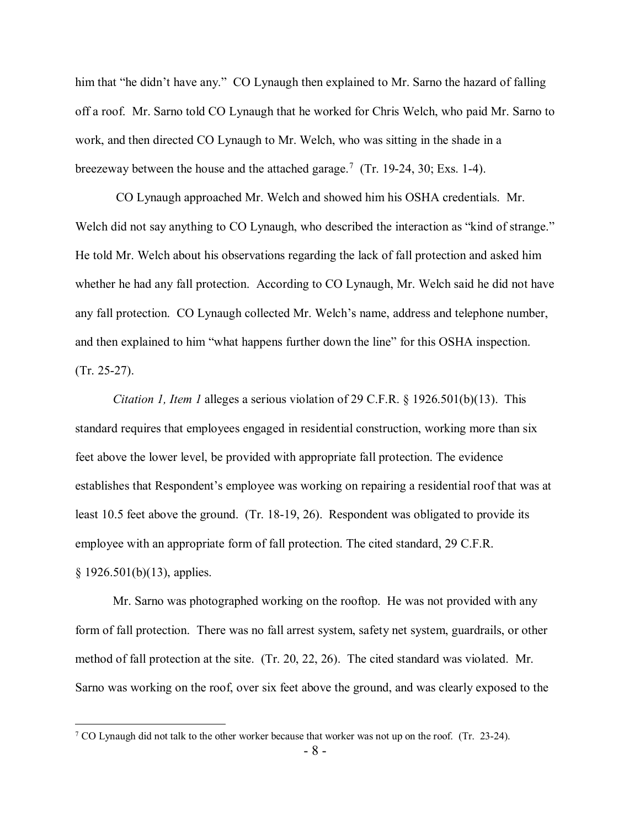him that "he didn't have any." CO Lynaugh then explained to Mr. Sarno the hazard of falling off a roof. Mr. Sarno told CO Lynaugh that he worked for Chris Welch, who paid Mr. Sarno to work, and then directed CO Lynaugh to Mr. Welch, who was sitting in the shade in a breezeway between the house and the attached garage.<sup>[7](#page-7-0)</sup> (Tr. 19-24, 30; Exs. 1-4).

CO Lynaugh approached Mr. Welch and showed him his OSHA credentials. Mr. Welch did not say anything to CO Lynaugh, who described the interaction as "kind of strange." He told Mr. Welch about his observations regarding the lack of fall protection and asked him whether he had any fall protection. According to CO Lynaugh, Mr. Welch said he did not have any fall protection. CO Lynaugh collected Mr. Welch's name, address and telephone number, and then explained to him "what happens further down the line" for this OSHA inspection. (Tr. 25-27).

*Citation 1, Item 1* alleges a serious violation of 29 C.F.R. § 1926.501(b)(13). This standard requires that employees engaged in residential construction, working more than six feet above the lower level, be provided with appropriate fall protection. The evidence establishes that Respondent's employee was working on repairing a residential roof that was at least 10.5 feet above the ground. (Tr. 18-19, 26). Respondent was obligated to provide its employee with an appropriate form of fall protection. The cited standard, 29 C.F.R. § 1926.501(b)(13), applies.

Mr. Sarno was photographed working on the rooftop. He was not provided with any form of fall protection. There was no fall arrest system, safety net system, guardrails, or other method of fall protection at the site. (Tr. 20, 22, 26). The cited standard was violated. Mr. Sarno was working on the roof, over six feet above the ground, and was clearly exposed to the

 $\overline{a}$ 

<span id="page-7-0"></span><sup>&</sup>lt;sup>7</sup> CO Lynaugh did not talk to the other worker because that worker was not up on the roof. (Tr. 23-24).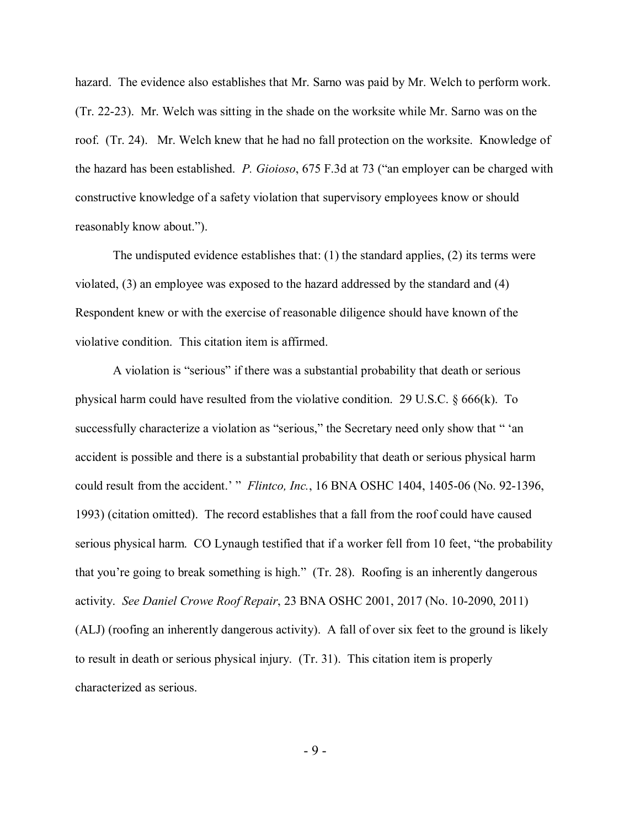hazard. The evidence also establishes that Mr. Sarno was paid by Mr. Welch to perform work. (Tr. 22-23). Mr. Welch was sitting in the shade on the worksite while Mr. Sarno was on the roof. (Tr. 24). Mr. Welch knew that he had no fall protection on the worksite. Knowledge of the hazard has been established. *P. Gioioso*, 675 F.3d at 73 ("an employer can be charged with constructive knowledge of a safety violation that supervisory employees know or should reasonably know about.").

The undisputed evidence establishes that: (1) the standard applies, (2) its terms were violated, (3) an employee was exposed to the hazard addressed by the standard and (4) Respondent knew or with the exercise of reasonable diligence should have known of the violative condition. This citation item is affirmed.

A violation is "serious" if there was a substantial probability that death or serious physical harm could have resulted from the violative condition. 29 U.S.C. § 666(k). To successfully characterize a violation as "serious," the Secretary need only show that " 'an accident is possible and there is a substantial probability that death or serious physical harm could result from the accident.' " *Flintco, Inc.*, 16 BNA OSHC 1404, 1405-06 (No. 92-1396, 1993) (citation omitted). The record establishes that a fall from the roof could have caused serious physical harm. CO Lynaugh testified that if a worker fell from 10 feet, "the probability that you're going to break something is high." (Tr. 28). Roofing is an inherently dangerous activity. *See Daniel Crowe Roof Repair*, 23 BNA OSHC 2001, 2017 (No. 10-2090, 2011) (ALJ) (roofing an inherently dangerous activity). A fall of over six feet to the ground is likely to result in death or serious physical injury. (Tr. 31). This citation item is properly characterized as serious.

- 9 -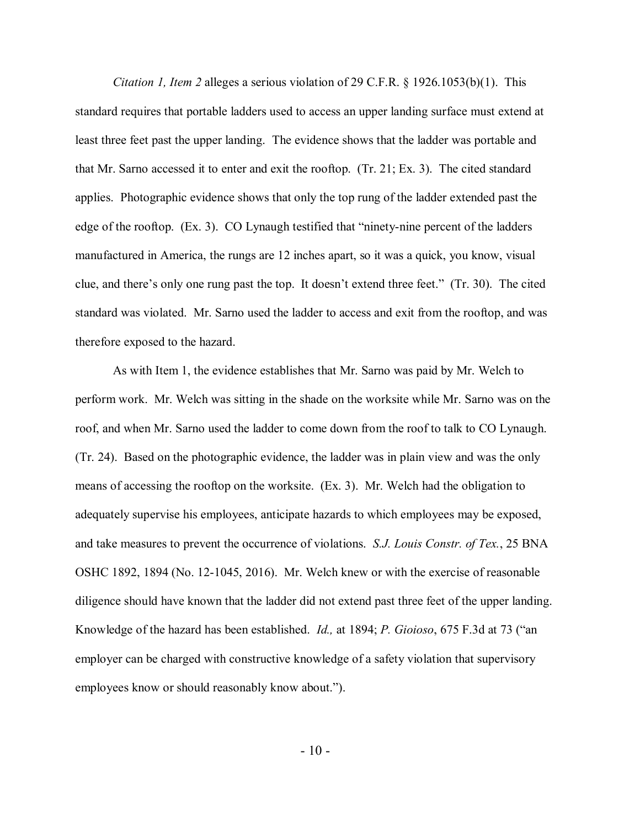*Citation 1, Item 2* alleges a serious violation of 29 C.F.R. § 1926.1053(b)(1). This standard requires that portable ladders used to access an upper landing surface must extend at least three feet past the upper landing. The evidence shows that the ladder was portable and that Mr. Sarno accessed it to enter and exit the rooftop. (Tr. 21; Ex. 3). The cited standard applies. Photographic evidence shows that only the top rung of the ladder extended past the edge of the rooftop. (Ex. 3). CO Lynaugh testified that "ninety-nine percent of the ladders manufactured in America, the rungs are 12 inches apart, so it was a quick, you know, visual clue, and there's only one rung past the top. It doesn't extend three feet." (Tr. 30). The cited standard was violated. Mr. Sarno used the ladder to access and exit from the rooftop, and was therefore exposed to the hazard.

As with Item 1, the evidence establishes that Mr. Sarno was paid by Mr. Welch to perform work. Mr. Welch was sitting in the shade on the worksite while Mr. Sarno was on the roof, and when Mr. Sarno used the ladder to come down from the roof to talk to CO Lynaugh. (Tr. 24). Based on the photographic evidence, the ladder was in plain view and was the only means of accessing the rooftop on the worksite. (Ex. 3). Mr. Welch had the obligation to adequately supervise his employees, anticipate hazards to which employees may be exposed, and take measures to prevent the occurrence of violations. *S.J. Louis Constr. of Tex.*, 25 BNA OSHC 1892, 1894 (No. 12-1045, 2016). Mr. Welch knew or with the exercise of reasonable diligence should have known that the ladder did not extend past three feet of the upper landing. Knowledge of the hazard has been established. *Id.,* at 1894; *P. Gioioso*, 675 F.3d at 73 ("an employer can be charged with constructive knowledge of a safety violation that supervisory employees know or should reasonably know about.").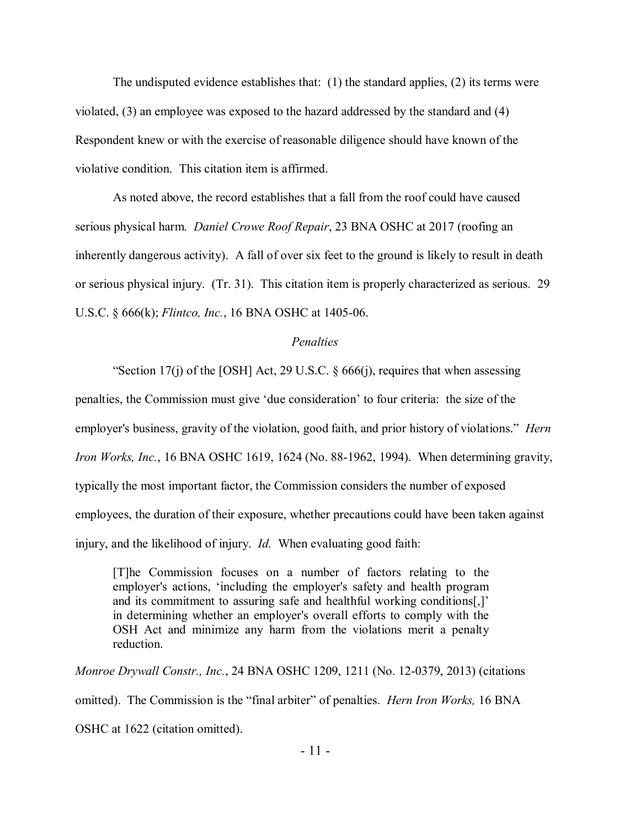The undisputed evidence establishes that:  $(1)$  the standard applies,  $(2)$  its terms were violated, (3) an employee was exposed to the hazard addressed by the standard and (4) Respondent knew or with the exercise of reasonable diligence should have known of the violative condition. This citation item is affirmed.

As noted above, the record establishes that a fall from the roof could have caused serious physical harm. *Daniel Crowe Roof Repair*, 23 BNA OSHC at 2017 (roofing an inherently dangerous activity). A fall of over six feet to the ground is likely to result in death or serious physical injury. (Tr. 31). This citation item is properly characterized as serious. 29 U.S.C. § 666(k); *Flintco, Inc.*, 16 BNA OSHC at 1405-06.

#### *Penalties*

"Section 17(j) of the [OSH] Act, 29 U.S.C. § 666(j), requires that when assessing

penalties, the Commission must give 'due consideration' to four criteria: the size of the employer's business, gravity of the violation, good faith, and prior history of violations." *Hern Iron Works, Inc.*, 16 BNA OSHC 1619, 1624 (No. 88-1962, 1994). When determining gravity, typically the most important factor, the Commission considers the number of exposed employees, the duration of their exposure, whether precautions could have been taken against injury, and the likelihood of injury. *Id.* When evaluating good faith:

[T]he Commission focuses on a number of factors relating to the employer's actions, 'including the employer's safety and health program and its commitment to assuring safe and healthful working conditions[,]' in determining whether an employer's overall efforts to comply with the OSH Act and minimize any harm from the violations merit a penalty reduction.

*Monroe Drywall Constr., Inc.*, 24 BNA OSHC 1209, 1211 (No. 12-0379, 2013) (citations omitted). The Commission is the "final arbiter" of penalties. *Hern Iron Works,* 16 BNA OSHC at 1622 (citation omitted).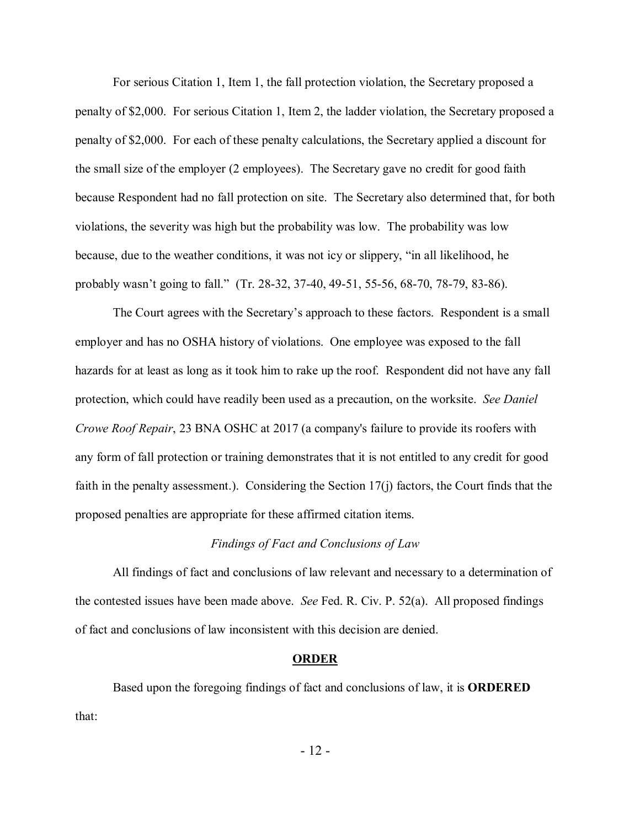For serious Citation 1, Item 1, the fall protection violation, the Secretary proposed a penalty of \$2,000. For serious Citation 1, Item 2, the ladder violation, the Secretary proposed a penalty of \$2,000. For each of these penalty calculations, the Secretary applied a discount for the small size of the employer (2 employees). The Secretary gave no credit for good faith because Respondent had no fall protection on site. The Secretary also determined that, for both violations, the severity was high but the probability was low. The probability was low because, due to the weather conditions, it was not icy or slippery, "in all likelihood, he probably wasn't going to fall." (Tr. 28-32, 37-40, 49-51, 55-56, 68-70, 78-79, 83-86).

The Court agrees with the Secretary's approach to these factors. Respondent is a small employer and has no OSHA history of violations. One employee was exposed to the fall hazards for at least as long as it took him to rake up the roof. Respondent did not have any fall protection, which could have readily been used as a precaution, on the worksite. *See Daniel Crowe Roof Repair*, 23 BNA OSHC at 2017 (a company's failure to provide its roofers with any form of fall protection or training demonstrates that it is not entitled to any credit for good faith in the penalty assessment.). Considering the Section 17(j) factors, the Court finds that the proposed penalties are appropriate for these affirmed citation items.

#### *Findings of Fact and Conclusions of Law*

All findings of fact and conclusions of law relevant and necessary to a determination of the contested issues have been made above. *See* Fed. R. Civ. P. 52(a). All proposed findings of fact and conclusions of law inconsistent with this decision are denied.

#### **ORDER**

Based upon the foregoing findings of fact and conclusions of law, it is **ORDERED** that: